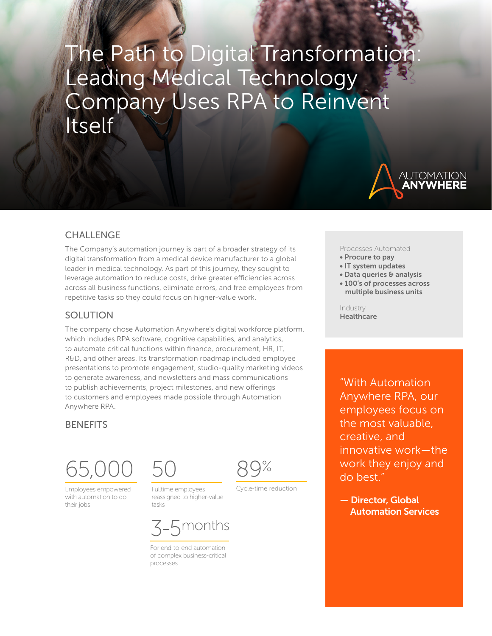# The Path to Digital Transformation Leading Medical Technology Company Uses RPA to Reinvent Itself



## **CHALLENGE**

The Company's automation journey is part of a broader strategy of its digital transformation from a medical device manufacturer to a global leader in medical technology. As part of this journey, they sought to leverage automation to reduce costs, drive greater efficiencies across across all business functions, eliminate errors, and free employees from repetitive tasks so they could focus on higher-value work.

#### SOLUTION

The company chose Automation Anywhere's digital workforce platform, which includes RPA software, cognitive capabilities, and analytics, to automate critical functions within finance, procurement, HR, IT, R&D, and other areas. Its transformation roadmap included employee presentations to promote engagement, studio-quality marketing videos to generate awareness, and newsletters and mass communications to publish achievements, project milestones, and new offerings to customers and employees made possible through Automation Anywhere RPA.

## **BENEFITS**



Employees empowered with automation to do their jobs

Fulltime employees reassigned to higher-value tasks

50



Cycle-time reduction



For end-to-end automation of complex business-critical processes

Processes Automated

- Procure to pay
- IT system updates
- Data queries & analysis
- 100's of processes across multiple business units

Industry Healthcare

"With Automation Anywhere RPA, our employees focus on the most valuable, creative, and innovative work—the work they enjoy and do best."

— Director, Global Automation Services